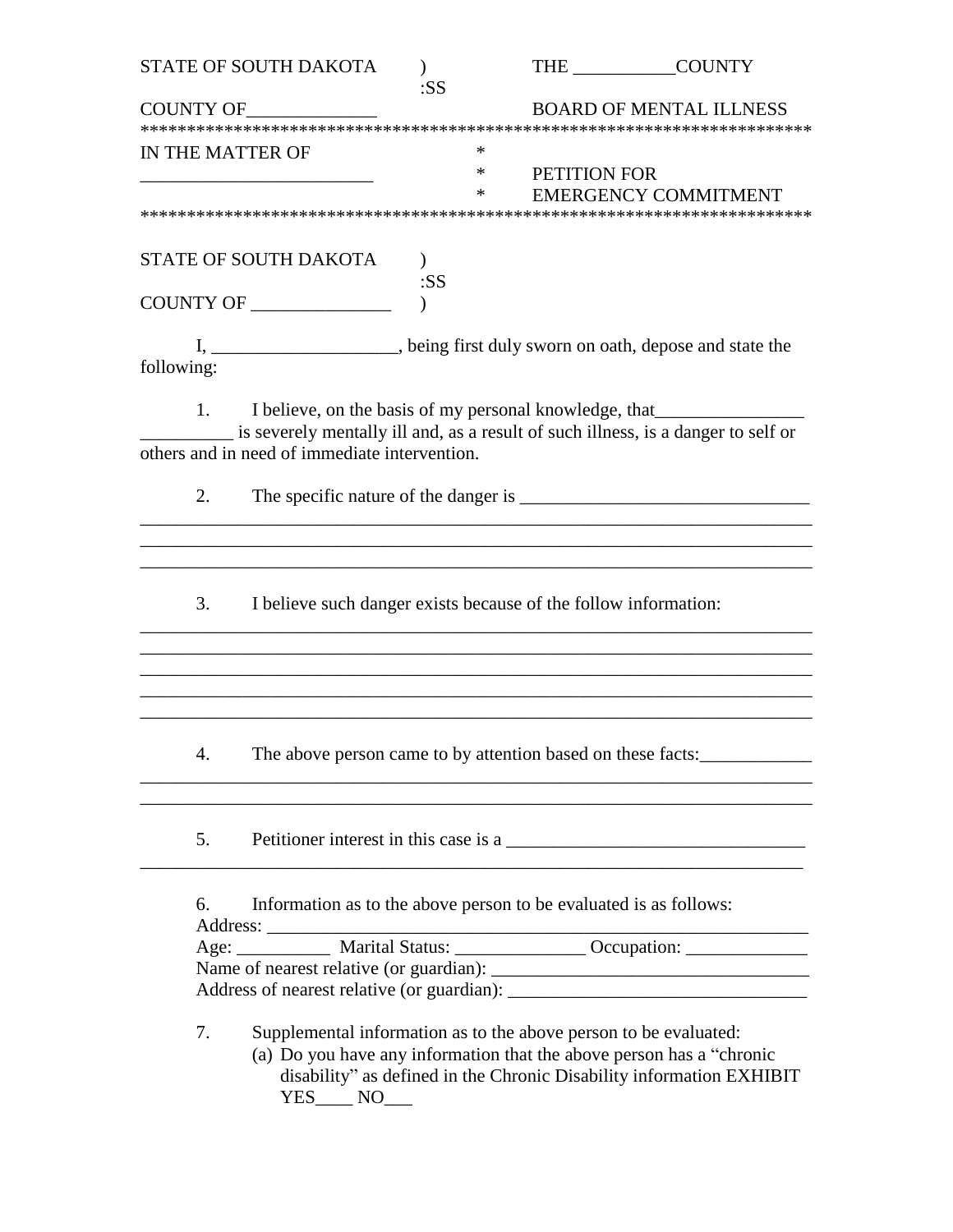| STATE OF SOUTH DAKOTA                                                                                                              | $\lambda$<br>:SS |        |              | THE COUNTY                                                           |
|------------------------------------------------------------------------------------------------------------------------------------|------------------|--------|--------------|----------------------------------------------------------------------|
| COUNTY OF                                                                                                                          |                  |        |              | <b>BOARD OF MENTAL ILLNESS</b>                                       |
|                                                                                                                                    |                  |        |              |                                                                      |
| IN THE MATTER OF                                                                                                                   |                  | $\ast$ |              |                                                                      |
|                                                                                                                                    |                  | $\ast$ | PETITION FOR |                                                                      |
|                                                                                                                                    |                  | ∗      |              | <b>EMERGENCY COMMITMENT</b>                                          |
| <b>STATE OF SOUTH DAKOTA</b>                                                                                                       | :SS              |        |              |                                                                      |
| COUNTY OF _____________                                                                                                            |                  |        |              |                                                                      |
| I, _____________________, being first duly sworn on oath, depose and state the                                                     |                  |        |              |                                                                      |
| following:                                                                                                                         |                  |        |              |                                                                      |
|                                                                                                                                    |                  |        |              |                                                                      |
| I believe, on the basis of my personal knowledge, that<br>1.                                                                       |                  |        |              |                                                                      |
| is severely mentally ill and, as a result of such illness, is a danger to self or<br>others and in need of immediate intervention. |                  |        |              |                                                                      |
|                                                                                                                                    |                  |        |              |                                                                      |
| 2.                                                                                                                                 |                  |        |              |                                                                      |
|                                                                                                                                    |                  |        |              |                                                                      |
|                                                                                                                                    |                  |        |              |                                                                      |
|                                                                                                                                    |                  |        |              |                                                                      |
| I believe such danger exists because of the follow information:<br>3.                                                              |                  |        |              |                                                                      |
|                                                                                                                                    |                  |        |              |                                                                      |
|                                                                                                                                    |                  |        |              |                                                                      |
|                                                                                                                                    |                  |        |              |                                                                      |
|                                                                                                                                    |                  |        |              |                                                                      |
|                                                                                                                                    |                  |        |              |                                                                      |
| 4. The above person came to by attention based on these facts:                                                                     |                  |        |              |                                                                      |
|                                                                                                                                    |                  |        |              |                                                                      |
| 5.                                                                                                                                 |                  |        |              |                                                                      |
|                                                                                                                                    |                  |        |              | Petitioner interest in this case is a                                |
|                                                                                                                                    |                  |        |              |                                                                      |
| Information as to the above person to be evaluated is as follows:<br>6.                                                            |                  |        |              |                                                                      |
| Address:                                                                                                                           |                  |        |              |                                                                      |
| Age: ____________ Marital Status: _______________ Occupation: __________________                                                   |                  |        |              |                                                                      |
|                                                                                                                                    |                  |        |              |                                                                      |
|                                                                                                                                    |                  |        |              |                                                                      |
|                                                                                                                                    |                  |        |              |                                                                      |
| Supplemental information as to the above person to be evaluated:<br>7.                                                             |                  |        |              | (a) Do you have any information that the above person has a "chronic |
|                                                                                                                                    |                  |        |              |                                                                      |

disability" as defined in the Chronic Disability information EXHIBIT YES\_\_\_\_ NO\_\_\_